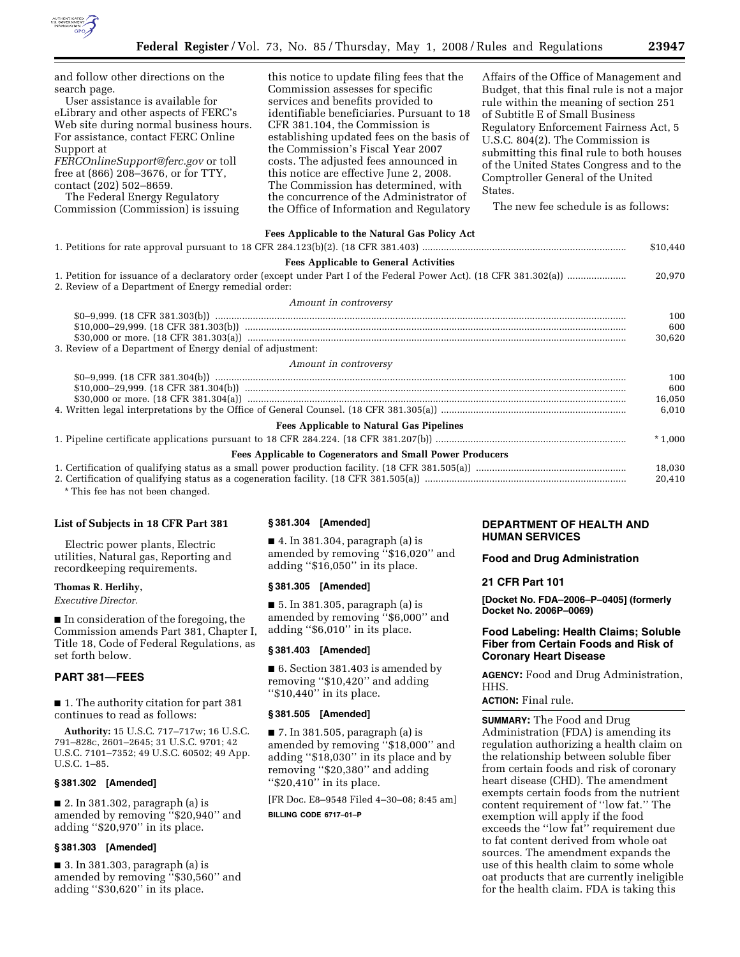

| and follow other directions on the<br>search page.<br>User assistance is available for<br>eLibrary and other aspects of FERC's<br>Web site during normal business hours.<br>For assistance, contact FERC Online<br>Support at<br>FERCOnlineSupport@ferc.gov or toll<br>free at (866) 208-3676, or for TTY,<br>contact (202) 502-8659.<br>The Federal Energy Regulatory<br>Commission (Commission) is issuing | this notice to update filing fees that the<br>Commission assesses for specific<br>services and benefits provided to<br>identifiable beneficiaries. Pursuant to 18<br>CFR 381.104, the Commission is<br>establishing updated fees on the basis of<br>the Commission's Fiscal Year 2007<br>costs. The adjusted fees announced in<br>this notice are effective June 2, 2008.<br>The Commission has determined, with<br>the concurrence of the Administrator of<br>the Office of Information and Regulatory | Affairs of the Office of Management and<br>Budget, that this final rule is not a major<br>rule within the meaning of section 251<br>of Subtitle E of Small Business<br>Regulatory Enforcement Fairness Act, 5<br>U.S.C. 804(2). The Commission is<br>submitting this final rule to both houses<br>of the United States Congress and to the<br>Comptroller General of the United<br>States.<br>The new fee schedule is as follows: |
|--------------------------------------------------------------------------------------------------------------------------------------------------------------------------------------------------------------------------------------------------------------------------------------------------------------------------------------------------------------------------------------------------------------|---------------------------------------------------------------------------------------------------------------------------------------------------------------------------------------------------------------------------------------------------------------------------------------------------------------------------------------------------------------------------------------------------------------------------------------------------------------------------------------------------------|-----------------------------------------------------------------------------------------------------------------------------------------------------------------------------------------------------------------------------------------------------------------------------------------------------------------------------------------------------------------------------------------------------------------------------------|
| Fees Applicable to the Natural Gas Policy Act                                                                                                                                                                                                                                                                                                                                                                |                                                                                                                                                                                                                                                                                                                                                                                                                                                                                                         |                                                                                                                                                                                                                                                                                                                                                                                                                                   |
| \$10,440                                                                                                                                                                                                                                                                                                                                                                                                     |                                                                                                                                                                                                                                                                                                                                                                                                                                                                                                         |                                                                                                                                                                                                                                                                                                                                                                                                                                   |
| <b>Fees Applicable to General Activities</b>                                                                                                                                                                                                                                                                                                                                                                 |                                                                                                                                                                                                                                                                                                                                                                                                                                                                                                         |                                                                                                                                                                                                                                                                                                                                                                                                                                   |
| 20,970<br>2. Review of a Department of Energy remedial order:                                                                                                                                                                                                                                                                                                                                                |                                                                                                                                                                                                                                                                                                                                                                                                                                                                                                         |                                                                                                                                                                                                                                                                                                                                                                                                                                   |
| Amount in controversy                                                                                                                                                                                                                                                                                                                                                                                        |                                                                                                                                                                                                                                                                                                                                                                                                                                                                                                         |                                                                                                                                                                                                                                                                                                                                                                                                                                   |
|                                                                                                                                                                                                                                                                                                                                                                                                              |                                                                                                                                                                                                                                                                                                                                                                                                                                                                                                         | 100                                                                                                                                                                                                                                                                                                                                                                                                                               |
|                                                                                                                                                                                                                                                                                                                                                                                                              |                                                                                                                                                                                                                                                                                                                                                                                                                                                                                                         | 600<br>30,620                                                                                                                                                                                                                                                                                                                                                                                                                     |
| 3. Review of a Department of Energy denial of adjustment:                                                                                                                                                                                                                                                                                                                                                    |                                                                                                                                                                                                                                                                                                                                                                                                                                                                                                         |                                                                                                                                                                                                                                                                                                                                                                                                                                   |
| Amount in controversy                                                                                                                                                                                                                                                                                                                                                                                        |                                                                                                                                                                                                                                                                                                                                                                                                                                                                                                         |                                                                                                                                                                                                                                                                                                                                                                                                                                   |
|                                                                                                                                                                                                                                                                                                                                                                                                              |                                                                                                                                                                                                                                                                                                                                                                                                                                                                                                         | 100                                                                                                                                                                                                                                                                                                                                                                                                                               |
|                                                                                                                                                                                                                                                                                                                                                                                                              |                                                                                                                                                                                                                                                                                                                                                                                                                                                                                                         | 600                                                                                                                                                                                                                                                                                                                                                                                                                               |
|                                                                                                                                                                                                                                                                                                                                                                                                              |                                                                                                                                                                                                                                                                                                                                                                                                                                                                                                         | 16.050                                                                                                                                                                                                                                                                                                                                                                                                                            |
|                                                                                                                                                                                                                                                                                                                                                                                                              |                                                                                                                                                                                                                                                                                                                                                                                                                                                                                                         | 6,010                                                                                                                                                                                                                                                                                                                                                                                                                             |
| <b>Fees Applicable to Natural Gas Pipelines</b>                                                                                                                                                                                                                                                                                                                                                              |                                                                                                                                                                                                                                                                                                                                                                                                                                                                                                         |                                                                                                                                                                                                                                                                                                                                                                                                                                   |
|                                                                                                                                                                                                                                                                                                                                                                                                              |                                                                                                                                                                                                                                                                                                                                                                                                                                                                                                         | $*1,000$                                                                                                                                                                                                                                                                                                                                                                                                                          |
| <b>Fees Applicable to Cogenerators and Small Power Producers</b>                                                                                                                                                                                                                                                                                                                                             |                                                                                                                                                                                                                                                                                                                                                                                                                                                                                                         |                                                                                                                                                                                                                                                                                                                                                                                                                                   |
|                                                                                                                                                                                                                                                                                                                                                                                                              |                                                                                                                                                                                                                                                                                                                                                                                                                                                                                                         | 18,030<br>20,410                                                                                                                                                                                                                                                                                                                                                                                                                  |

\* This fee has not been changed.

## **List of Subjects in 18 CFR Part 381**

Electric power plants, Electric utilities, Natural gas, Reporting and recordkeeping requirements.

### **Thomas R. Herlihy,**

*Executive Director.* 

■ In consideration of the foregoing, the Commission amends Part 381, Chapter I, Title 18, Code of Federal Regulations, as set forth below.

## **PART 381—FEES**

■ 1. The authority citation for part 381 continues to read as follows:

**Authority:** 15 U.S.C. 717–717w; 16 U.S.C. 791–828c, 2601–2645; 31 U.S.C. 9701; 42 U.S.C. 7101–7352; 49 U.S.C. 60502; 49 App. U.S.C. 1–85.

## **§ 381.302 [Amended]**

■ 2. In 381.302, paragraph (a) is amended by removing ''\$20,940'' and adding ''\$20,970'' in its place.

#### **§ 381.303 [Amended]**

■ 3. In 381.303, paragraph (a) is amended by removing ''\$30,560'' and adding ''\$30,620'' in its place.

### **§ 381.304 [Amended]**

■ 4. In 381.304, paragraph (a) is amended by removing ''\$16,020'' and adding ''\$16,050'' in its place.

#### **§ 381.305 [Amended]**

■ 5. In 381.305, paragraph (a) is amended by removing ''\$6,000'' and adding ''\$6,010'' in its place.

## **§ 381.403 [Amended]**

■ 6. Section 381.403 is amended by removing ''\$10,420'' and adding "\$10,440" in its place.

#### **§ 381.505 [Amended]**

■ 7. In 381.505, paragraph (a) is amended by removing ''\$18,000'' and adding ''\$18,030'' in its place and by removing ''\$20,380'' and adding "\$20,410" in its place.

[FR Doc. E8–9548 Filed 4–30–08; 8:45 am] **BILLING CODE 6717–01–P** 

# **DEPARTMENT OF HEALTH AND HUMAN SERVICES**

**Food and Drug Administration** 

#### **21 CFR Part 101**

**[Docket No. FDA–2006–P–0405] (formerly Docket No. 2006P–0069)** 

# **Food Labeling: Health Claims; Soluble Fiber from Certain Foods and Risk of Coronary Heart Disease**

**AGENCY:** Food and Drug Administration, HHS.

#### **ACTION:** Final rule.

**SUMMARY:** The Food and Drug Administration (FDA) is amending its regulation authorizing a health claim on the relationship between soluble fiber from certain foods and risk of coronary heart disease (CHD). The amendment exempts certain foods from the nutrient content requirement of ''low fat.'' The exemption will apply if the food exceeds the ''low fat'' requirement due to fat content derived from whole oat sources. The amendment expands the use of this health claim to some whole oat products that are currently ineligible for the health claim. FDA is taking this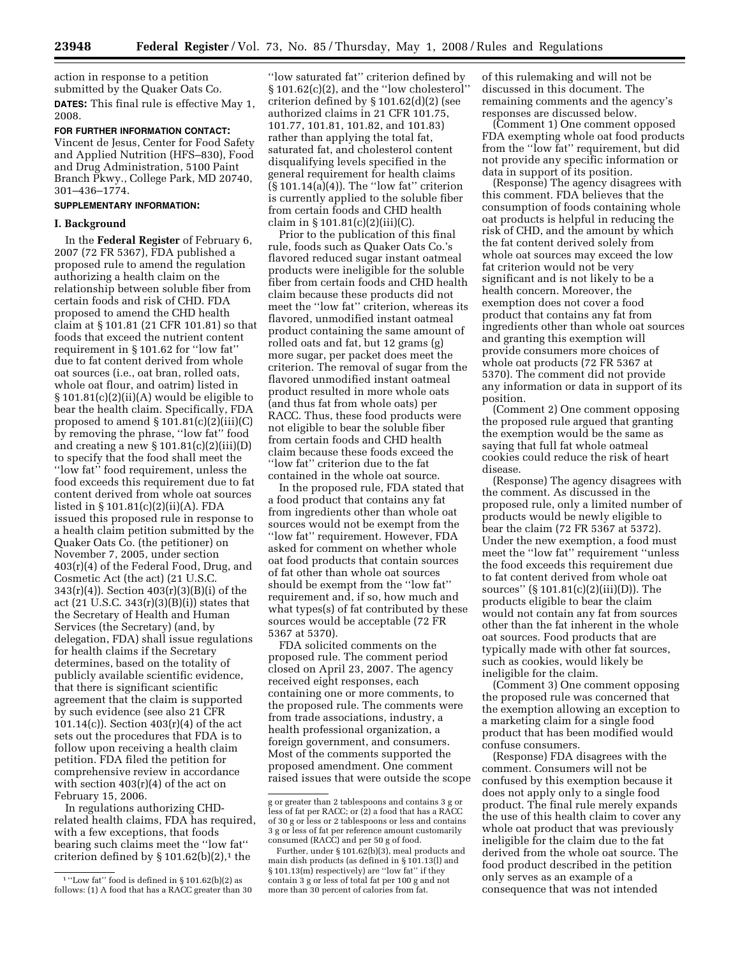action in response to a petition submitted by the Quaker Oats Co. **DATES:** This final rule is effective May 1, 2008.

**FOR FURTHER INFORMATION CONTACT:**  Vincent de Jesus, Center for Food Safety and Applied Nutrition (HFS–830), Food and Drug Administration, 5100 Paint Branch Pkwy., College Park, MD 20740, 301–436–1774.

## **SUPPLEMENTARY INFORMATION:**

## **I. Background**

In the **Federal Register** of February 6, 2007 (72 FR 5367), FDA published a proposed rule to amend the regulation authorizing a health claim on the relationship between soluble fiber from certain foods and risk of CHD. FDA proposed to amend the CHD health claim at § 101.81 (21 CFR 101.81) so that foods that exceed the nutrient content requirement in § 101.62 for ''low fat'' due to fat content derived from whole oat sources (i.e., oat bran, rolled oats, whole oat flour, and oatrim) listed in § 101.81(c)(2)(ii)(A) would be eligible to bear the health claim. Specifically, FDA proposed to amend  $\S 101.81(c)(2)(iii)(C)$ by removing the phrase, ''low fat'' food and creating a new  $\S 101.81(c)(2)(iii)(D)$ to specify that the food shall meet the "low fat" food requirement, unless the food exceeds this requirement due to fat content derived from whole oat sources listed in § 101.81(c)(2)(ii)(A). FDA issued this proposed rule in response to a health claim petition submitted by the Quaker Oats Co. (the petitioner) on November 7, 2005, under section 403(r)(4) of the Federal Food, Drug, and Cosmetic Act (the act) (21 U.S.C. 343(r)(4)). Section 403(r)(3)(B)(i) of the act  $(21 \text{ U.S.C. } 343(\text{r})(3)(\text{B})(i))$  states that the Secretary of Health and Human Services (the Secretary) (and, by delegation, FDA) shall issue regulations for health claims if the Secretary determines, based on the totality of publicly available scientific evidence, that there is significant scientific agreement that the claim is supported by such evidence (see also 21 CFR 101.14(c)). Section  $403(r)(4)$  of the act sets out the procedures that FDA is to follow upon receiving a health claim petition. FDA filed the petition for comprehensive review in accordance with section  $403(r)(4)$  of the act on February 15, 2006.

In regulations authorizing CHDrelated health claims, FDA has required, with a few exceptions, that foods bearing such claims meet the ''low fat'' criterion defined by  $\S 101.62(b)(2)$ ,<sup>1</sup> the

''low saturated fat'' criterion defined by § 101.62(c)(2), and the ''low cholesterol'' criterion defined by § 101.62(d)(2) (see authorized claims in 21 CFR 101.75, 101.77, 101.81, 101.82, and 101.83) rather than applying the total fat, saturated fat, and cholesterol content disqualifying levels specified in the general requirement for health claims (§ 101.14(a)(4)). The ''low fat'' criterion is currently applied to the soluble fiber from certain foods and CHD health claim in § 101.81(c)(2)(iii)(C).

Prior to the publication of this final rule, foods such as Quaker Oats Co.'s flavored reduced sugar instant oatmeal products were ineligible for the soluble fiber from certain foods and CHD health claim because these products did not meet the ''low fat'' criterion, whereas its flavored, unmodified instant oatmeal product containing the same amount of rolled oats and fat, but 12 grams (g) more sugar, per packet does meet the criterion. The removal of sugar from the flavored unmodified instant oatmeal product resulted in more whole oats (and thus fat from whole oats) per RACC. Thus, these food products were not eligible to bear the soluble fiber from certain foods and CHD health claim because these foods exceed the ''low fat'' criterion due to the fat contained in the whole oat source.

In the proposed rule, FDA stated that a food product that contains any fat from ingredients other than whole oat sources would not be exempt from the ''low fat'' requirement. However, FDA asked for comment on whether whole oat food products that contain sources of fat other than whole oat sources should be exempt from the ''low fat'' requirement and, if so, how much and what types(s) of fat contributed by these sources would be acceptable (72 FR 5367 at 5370).

FDA solicited comments on the proposed rule. The comment period closed on April 23, 2007. The agency received eight responses, each containing one or more comments, to the proposed rule. The comments were from trade associations, industry, a health professional organization, a foreign government, and consumers. Most of the comments supported the proposed amendment. One comment raised issues that were outside the scope of this rulemaking and will not be discussed in this document. The remaining comments and the agency's responses are discussed below.

(Comment 1) One comment opposed FDA exempting whole oat food products from the ''low fat'' requirement, but did not provide any specific information or data in support of its position.

(Response) The agency disagrees with this comment. FDA believes that the consumption of foods containing whole oat products is helpful in reducing the risk of CHD, and the amount by which the fat content derived solely from whole oat sources may exceed the low fat criterion would not be very significant and is not likely to be a health concern. Moreover, the exemption does not cover a food product that contains any fat from ingredients other than whole oat sources and granting this exemption will provide consumers more choices of whole oat products (72 FR 5367 at 5370). The comment did not provide any information or data in support of its position.

(Comment 2) One comment opposing the proposed rule argued that granting the exemption would be the same as saying that full fat whole oatmeal cookies could reduce the risk of heart disease.

(Response) The agency disagrees with the comment. As discussed in the proposed rule, only a limited number of products would be newly eligible to bear the claim (72 FR 5367 at 5372). Under the new exemption, a food must meet the ''low fat'' requirement ''unless the food exceeds this requirement due to fat content derived from whole oat sources'' (§ 101.81(c)(2)(iii)(D)). The products eligible to bear the claim would not contain any fat from sources other than the fat inherent in the whole oat sources. Food products that are typically made with other fat sources, such as cookies, would likely be ineligible for the claim.

(Comment 3) One comment opposing the proposed rule was concerned that the exemption allowing an exception to a marketing claim for a single food product that has been modified would confuse consumers.

(Response) FDA disagrees with the comment. Consumers will not be confused by this exemption because it does not apply only to a single food product. The final rule merely expands the use of this health claim to cover any whole oat product that was previously ineligible for the claim due to the fat derived from the whole oat source. The food product described in the petition only serves as an example of a consequence that was not intended

<sup>1</sup> ''Low fat'' food is defined in § 101.62(b)(2) as follows: (1) A food that has a RACC greater than 30

g or greater than 2 tablespoons and contains 3 g or less of fat per RACC; or (2) a food that has a RACC of 30 g or less or 2 tablespoons or less and contains 3 g or less of fat per reference amount customarily consumed (RACC) and per 50 g of food.

Further, under § 101.62(b)(3), meal products and main dish products (as defined in  $\S 101.13(1)$  and § 101.13(m) respectively) are "low fat" if they contain 3 g or less of total fat per 100 g and not more than 30 percent of calories from fat.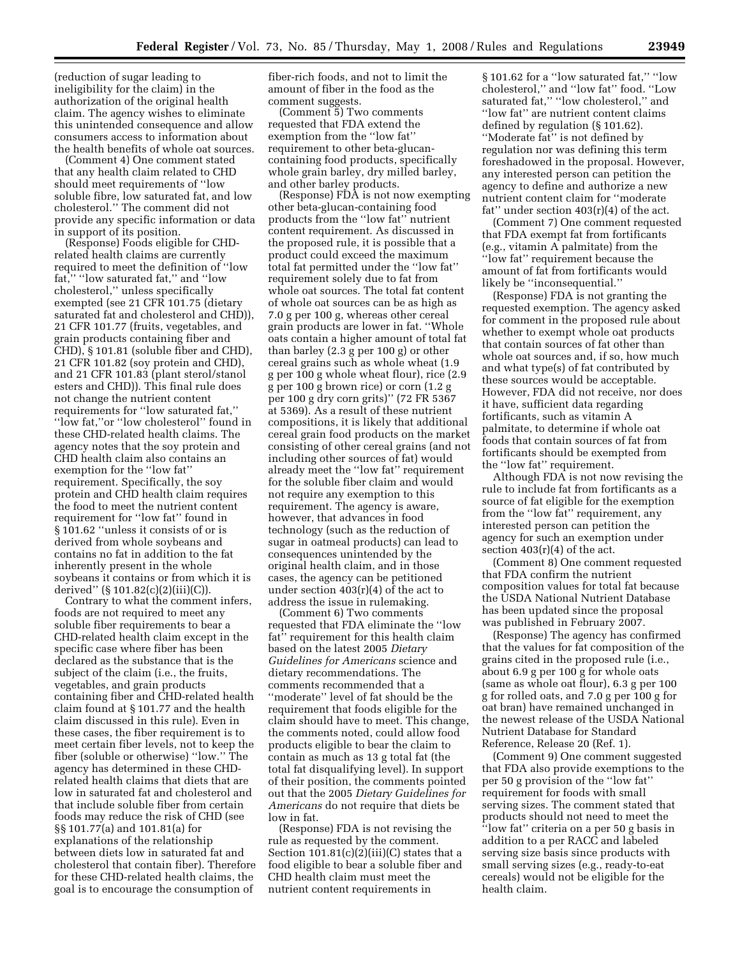(reduction of sugar leading to ineligibility for the claim) in the authorization of the original health claim. The agency wishes to eliminate this unintended consequence and allow consumers access to information about the health benefits of whole oat sources.

(Comment 4) One comment stated that any health claim related to CHD should meet requirements of ''low soluble fibre, low saturated fat, and low cholesterol.'' The comment did not provide any specific information or data in support of its position.

(Response) Foods eligible for CHDrelated health claims are currently required to meet the definition of ''low fat," "low saturated fat," and "low cholesterol,'' unless specifically exempted (see 21 CFR 101.75 (dietary saturated fat and cholesterol and CHD)), 21 CFR 101.77 (fruits, vegetables, and grain products containing fiber and CHD), § 101.81 (soluble fiber and CHD), 21 CFR 101.82 (soy protein and CHD), and 21 CFR 101.83 (plant sterol/stanol esters and CHD)). This final rule does not change the nutrient content requirements for ''low saturated fat,'' ''low fat,''or ''low cholesterol'' found in these CHD-related health claims. The agency notes that the soy protein and CHD health claim also contains an exemption for the ''low fat'' requirement. Specifically, the soy protein and CHD health claim requires the food to meet the nutrient content requirement for ''low fat'' found in § 101.62 ''unless it consists of or is derived from whole soybeans and contains no fat in addition to the fat inherently present in the whole soybeans it contains or from which it is derived'' (§ 101.82(c)(2)(iii)(C)).

Contrary to what the comment infers, foods are not required to meet any soluble fiber requirements to bear a CHD-related health claim except in the specific case where fiber has been declared as the substance that is the subject of the claim (i.e., the fruits, vegetables, and grain products containing fiber and CHD-related health claim found at § 101.77 and the health claim discussed in this rule). Even in these cases, the fiber requirement is to meet certain fiber levels, not to keep the fiber (soluble or otherwise) ''low.'' The agency has determined in these CHDrelated health claims that diets that are low in saturated fat and cholesterol and that include soluble fiber from certain foods may reduce the risk of CHD (see §§ 101.77(a) and 101.81(a) for explanations of the relationship between diets low in saturated fat and cholesterol that contain fiber). Therefore for these CHD-related health claims, the goal is to encourage the consumption of

fiber-rich foods, and not to limit the amount of fiber in the food as the comment suggests.

(Comment 5) Two comments requested that FDA extend the exemption from the ''low fat'' requirement to other beta-glucancontaining food products, specifically whole grain barley, dry milled barley, and other barley products.

(Response)  $\widetilde{\text{FDA}}$  is not now exempting other beta-glucan-containing food products from the ''low fat'' nutrient content requirement. As discussed in the proposed rule, it is possible that a product could exceed the maximum total fat permitted under the ''low fat'' requirement solely due to fat from whole oat sources. The total fat content of whole oat sources can be as high as 7.0 g per 100 g, whereas other cereal grain products are lower in fat. ''Whole oats contain a higher amount of total fat than barley (2.3 g per 100 g) or other cereal grains such as whole wheat (1.9 g per 100 g whole wheat flour), rice (2.9 g per 100 g brown rice) or corn (1.2 g per 100 g dry corn grits)'' (72 FR 5367 at 5369). As a result of these nutrient compositions, it is likely that additional cereal grain food products on the market consisting of other cereal grains (and not including other sources of fat) would already meet the ''low fat'' requirement for the soluble fiber claim and would not require any exemption to this requirement. The agency is aware, however, that advances in food technology (such as the reduction of sugar in oatmeal products) can lead to consequences unintended by the original health claim, and in those cases, the agency can be petitioned under section  $403(r)(4)$  of the act to address the issue in rulemaking.

(Comment 6) Two comments requested that FDA eliminate the ''low fat'' requirement for this health claim based on the latest 2005 *Dietary Guidelines for Americans* science and dietary recommendations. The comments recommended that a ''moderate'' level of fat should be the requirement that foods eligible for the claim should have to meet. This change, the comments noted, could allow food products eligible to bear the claim to contain as much as 13 g total fat (the total fat disqualifying level). In support of their position, the comments pointed out that the 2005 *Dietary Guidelines for Americans* do not require that diets be low in fat.

(Response) FDA is not revising the rule as requested by the comment. Section  $101.81(c)(2)(iii)(C)$  states that a food eligible to bear a soluble fiber and CHD health claim must meet the nutrient content requirements in

§ 101.62 for a ''low saturated fat,'' ''low cholesterol,'' and ''low fat'' food. ''Low saturated fat," "low cholesterol," and ''low fat'' are nutrient content claims defined by regulation (§ 101.62). ''Moderate fat'' is not defined by regulation nor was defining this term foreshadowed in the proposal. However, any interested person can petition the agency to define and authorize a new nutrient content claim for ''moderate fat" under section  $403(r)(4)$  of the act.

(Comment 7) One comment requested that FDA exempt fat from fortificants (e.g., vitamin A palmitate) from the ''low fat'' requirement because the amount of fat from fortificants would likely be ''inconsequential.''

(Response) FDA is not granting the requested exemption. The agency asked for comment in the proposed rule about whether to exempt whole oat products that contain sources of fat other than whole oat sources and, if so, how much and what type(s) of fat contributed by these sources would be acceptable. However, FDA did not receive, nor does it have, sufficient data regarding fortificants, such as vitamin A palmitate, to determine if whole oat foods that contain sources of fat from fortificants should be exempted from the ''low fat'' requirement.

Although FDA is not now revising the rule to include fat from fortificants as a source of fat eligible for the exemption from the ''low fat'' requirement, any interested person can petition the agency for such an exemption under section  $403(r)(4)$  of the act.

(Comment 8) One comment requested that FDA confirm the nutrient composition values for total fat because the USDA National Nutrient Database has been updated since the proposal was published in February 2007.

(Response) The agency has confirmed that the values for fat composition of the grains cited in the proposed rule (i.e., about 6.9 g per 100 g for whole oats (same as whole oat flour), 6.3 g per 100 g for rolled oats, and 7.0 g per 100 g for oat bran) have remained unchanged in the newest release of the USDA National Nutrient Database for Standard Reference, Release 20 (Ref. 1).

(Comment 9) One comment suggested that FDA also provide exemptions to the per 50 g provision of the ''low fat'' requirement for foods with small serving sizes. The comment stated that products should not need to meet the ''low fat'' criteria on a per 50 g basis in addition to a per RACC and labeled serving size basis since products with small serving sizes (e.g., ready-to-eat cereals) would not be eligible for the health claim.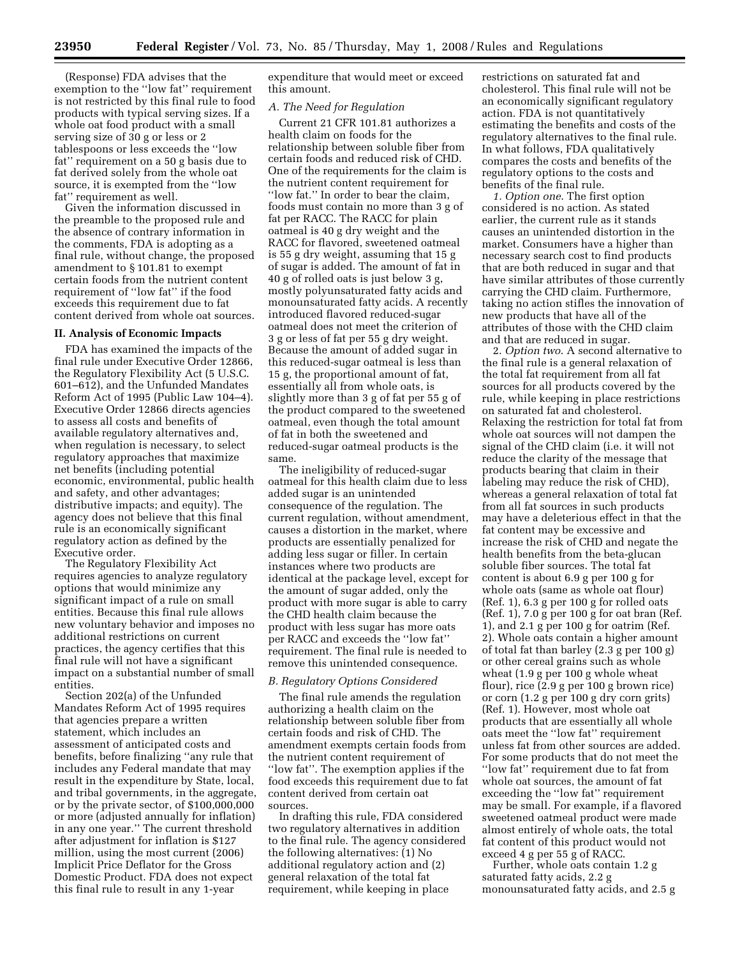(Response) FDA advises that the exemption to the ''low fat'' requirement is not restricted by this final rule to food products with typical serving sizes. If a whole oat food product with a small serving size of 30 g or less or 2 tablespoons or less exceeds the ''low fat'' requirement on a 50 g basis due to fat derived solely from the whole oat source, it is exempted from the ''low fat'' requirement as well.

Given the information discussed in the preamble to the proposed rule and the absence of contrary information in the comments, FDA is adopting as a final rule, without change, the proposed amendment to § 101.81 to exempt certain foods from the nutrient content requirement of ''low fat'' if the food exceeds this requirement due to fat content derived from whole oat sources.

#### **II. Analysis of Economic Impacts**

FDA has examined the impacts of the final rule under Executive Order 12866, the Regulatory Flexibility Act (5 U.S.C. 601–612), and the Unfunded Mandates Reform Act of 1995 (Public Law 104–4). Executive Order 12866 directs agencies to assess all costs and benefits of available regulatory alternatives and, when regulation is necessary, to select regulatory approaches that maximize net benefits (including potential economic, environmental, public health and safety, and other advantages; distributive impacts; and equity). The agency does not believe that this final rule is an economically significant regulatory action as defined by the Executive order.

The Regulatory Flexibility Act requires agencies to analyze regulatory options that would minimize any significant impact of a rule on small entities. Because this final rule allows new voluntary behavior and imposes no additional restrictions on current practices, the agency certifies that this final rule will not have a significant impact on a substantial number of small entities.

Section 202(a) of the Unfunded Mandates Reform Act of 1995 requires that agencies prepare a written statement, which includes an assessment of anticipated costs and benefits, before finalizing ''any rule that includes any Federal mandate that may result in the expenditure by State, local, and tribal governments, in the aggregate, or by the private sector, of \$100,000,000 or more (adjusted annually for inflation) in any one year.'' The current threshold after adjustment for inflation is \$127 million, using the most current (2006) Implicit Price Deflator for the Gross Domestic Product. FDA does not expect this final rule to result in any 1-year

expenditure that would meet or exceed this amount.

### *A. The Need for Regulation*

Current 21 CFR 101.81 authorizes a health claim on foods for the relationship between soluble fiber from certain foods and reduced risk of CHD. One of the requirements for the claim is the nutrient content requirement for ''low fat.'' In order to bear the claim, foods must contain no more than 3 g of fat per RACC. The RACC for plain oatmeal is 40 g dry weight and the RACC for flavored, sweetened oatmeal is 55 g dry weight, assuming that 15 g of sugar is added. The amount of fat in 40 g of rolled oats is just below 3 g, mostly polyunsaturated fatty acids and monounsaturated fatty acids. A recently introduced flavored reduced-sugar oatmeal does not meet the criterion of 3 g or less of fat per 55 g dry weight. Because the amount of added sugar in this reduced-sugar oatmeal is less than 15 g, the proportional amount of fat, essentially all from whole oats, is slightly more than 3 g of fat per 55 g of the product compared to the sweetened oatmeal, even though the total amount of fat in both the sweetened and reduced-sugar oatmeal products is the same.

The ineligibility of reduced-sugar oatmeal for this health claim due to less added sugar is an unintended consequence of the regulation. The current regulation, without amendment, causes a distortion in the market, where products are essentially penalized for adding less sugar or filler. In certain instances where two products are identical at the package level, except for the amount of sugar added, only the product with more sugar is able to carry the CHD health claim because the product with less sugar has more oats per RACC and exceeds the ''low fat'' requirement. The final rule is needed to remove this unintended consequence.

### *B. Regulatory Options Considered*

The final rule amends the regulation authorizing a health claim on the relationship between soluble fiber from certain foods and risk of CHD. The amendment exempts certain foods from the nutrient content requirement of "low fat". The exemption applies if the food exceeds this requirement due to fat content derived from certain oat sources.

In drafting this rule, FDA considered two regulatory alternatives in addition to the final rule. The agency considered the following alternatives: (1) No additional regulatory action and (2) general relaxation of the total fat requirement, while keeping in place

restrictions on saturated fat and cholesterol. This final rule will not be an economically significant regulatory action. FDA is not quantitatively estimating the benefits and costs of the regulatory alternatives to the final rule. In what follows, FDA qualitatively compares the costs and benefits of the regulatory options to the costs and benefits of the final rule.

*1. Option one*. The first option considered is no action. As stated earlier, the current rule as it stands causes an unintended distortion in the market. Consumers have a higher than necessary search cost to find products that are both reduced in sugar and that have similar attributes of those currently carrying the CHD claim. Furthermore, taking no action stifles the innovation of new products that have all of the attributes of those with the CHD claim and that are reduced in sugar.

2. *Option two*. A second alternative to the final rule is a general relaxation of the total fat requirement from all fat sources for all products covered by the rule, while keeping in place restrictions on saturated fat and cholesterol. Relaxing the restriction for total fat from whole oat sources will not dampen the signal of the CHD claim (i.e. it will not reduce the clarity of the message that products bearing that claim in their labeling may reduce the risk of CHD), whereas a general relaxation of total fat from all fat sources in such products may have a deleterious effect in that the fat content may be excessive and increase the risk of CHD and negate the health benefits from the beta-glucan soluble fiber sources. The total fat content is about 6.9 g per 100 g for whole oats (same as whole oat flour) (Ref. 1), 6.3 g per 100 g for rolled oats (Ref. 1), 7.0 g per 100 g for oat bran (Ref. 1), and 2.1 g per 100 g for oatrim (Ref. 2). Whole oats contain a higher amount of total fat than barley (2.3 g per 100 g) or other cereal grains such as whole wheat (1.9 g per 100 g whole wheat flour), rice (2.9 g per 100 g brown rice) or corn (1.2 g per 100 g dry corn grits) (Ref. 1). However, most whole oat products that are essentially all whole oats meet the ''low fat'' requirement unless fat from other sources are added. For some products that do not meet the ''low fat'' requirement due to fat from whole oat sources, the amount of fat exceeding the ''low fat'' requirement may be small. For example, if a flavored sweetened oatmeal product were made almost entirely of whole oats, the total fat content of this product would not exceed 4 g per 55 g of RACC.

Further, whole oats contain 1.2 g saturated fatty acids, 2.2 g monounsaturated fatty acids, and 2.5 g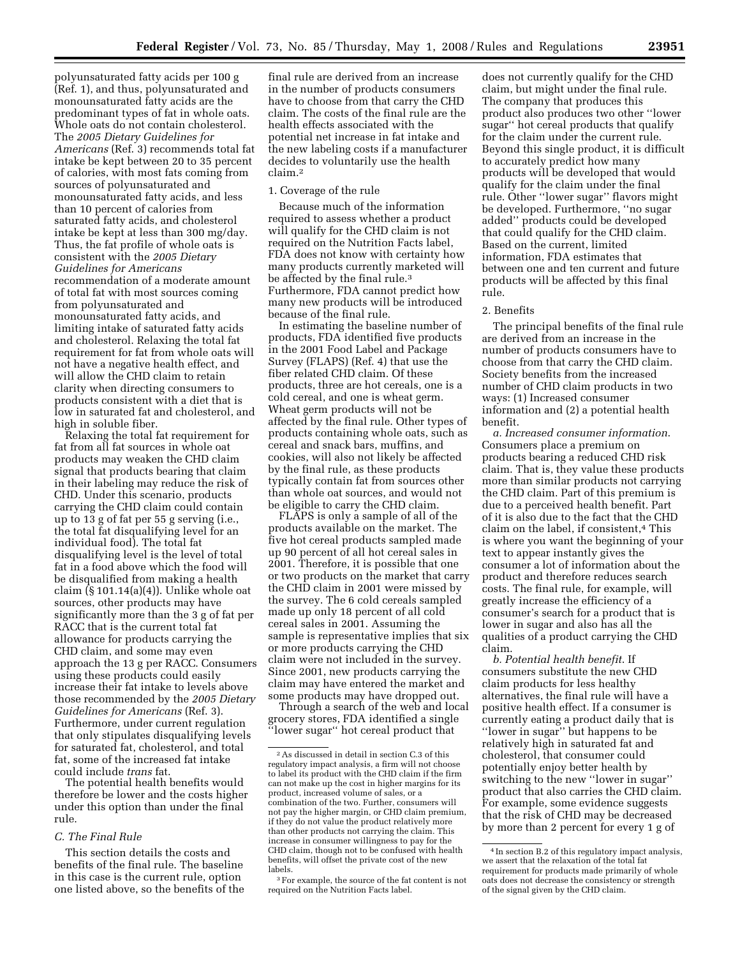polyunsaturated fatty acids per 100 g (Ref. 1), and thus, polyunsaturated and monounsaturated fatty acids are the predominant types of fat in whole oats. Whole oats do not contain cholesterol. The *2005 Dietary Guidelines for Americans* (Ref. 3) recommends total fat intake be kept between 20 to 35 percent of calories, with most fats coming from sources of polyunsaturated and monounsaturated fatty acids, and less than 10 percent of calories from saturated fatty acids, and cholesterol intake be kept at less than 300 mg/day. Thus, the fat profile of whole oats is consistent with the *2005 Dietary Guidelines for Americans*  recommendation of a moderate amount of total fat with most sources coming from polyunsaturated and monounsaturated fatty acids, and limiting intake of saturated fatty acids and cholesterol. Relaxing the total fat requirement for fat from whole oats will not have a negative health effect, and will allow the CHD claim to retain clarity when directing consumers to products consistent with a diet that is low in saturated fat and cholesterol, and high in soluble fiber.

Relaxing the total fat requirement for fat from all fat sources in whole oat products may weaken the CHD claim signal that products bearing that claim in their labeling may reduce the risk of CHD. Under this scenario, products carrying the CHD claim could contain up to 13 g of fat per 55 g serving (i.e., the total fat disqualifying level for an individual food). The total fat disqualifying level is the level of total fat in a food above which the food will be disqualified from making a health claim (§ 101.14(a)(4)). Unlike whole oat sources, other products may have significantly more than the 3 g of fat per RACC that is the current total fat allowance for products carrying the CHD claim, and some may even approach the 13 g per RACC. Consumers using these products could easily increase their fat intake to levels above those recommended by the *2005 Dietary Guidelines for Americans* (Ref. 3). Furthermore, under current regulation that only stipulates disqualifying levels for saturated fat, cholesterol, and total fat, some of the increased fat intake could include *trans* fat.

The potential health benefits would therefore be lower and the costs higher under this option than under the final rule.

## *C. The Final Rule*

This section details the costs and benefits of the final rule. The baseline in this case is the current rule, option one listed above, so the benefits of the

final rule are derived from an increase in the number of products consumers have to choose from that carry the CHD claim. The costs of the final rule are the health effects associated with the potential net increase in fat intake and the new labeling costs if a manufacturer decides to voluntarily use the health claim.2

## 1. Coverage of the rule

Because much of the information required to assess whether a product will qualify for the CHD claim is not required on the Nutrition Facts label, FDA does not know with certainty how many products currently marketed will be affected by the final rule.<sup>3</sup> Furthermore, FDA cannot predict how many new products will be introduced because of the final rule.

In estimating the baseline number of products, FDA identified five products in the 2001 Food Label and Package Survey (FLAPS) (Ref. 4) that use the fiber related CHD claim. Of these products, three are hot cereals, one is a cold cereal, and one is wheat germ. Wheat germ products will not be affected by the final rule. Other types of products containing whole oats, such as cereal and snack bars, muffins, and cookies, will also not likely be affected by the final rule, as these products typically contain fat from sources other than whole oat sources, and would not be eligible to carry the CHD claim.

FLAPS is only a sample of all of the products available on the market. The five hot cereal products sampled made up 90 percent of all hot cereal sales in 2001. Therefore, it is possible that one or two products on the market that carry the CHD claim in 2001 were missed by the survey. The 6 cold cereals sampled made up only 18 percent of all cold cereal sales in 2001. Assuming the sample is representative implies that six or more products carrying the CHD claim were not included in the survey. Since 2001, new products carrying the claim may have entered the market and some products may have dropped out.

Through a search of the web and local grocery stores, FDA identified a single ''lower sugar'' hot cereal product that

does not currently qualify for the CHD claim, but might under the final rule. The company that produces this product also produces two other ''lower sugar'' hot cereal products that qualify for the claim under the current rule. Beyond this single product, it is difficult to accurately predict how many products will be developed that would qualify for the claim under the final rule. Other ''lower sugar'' flavors might be developed. Furthermore, ''no sugar added'' products could be developed that could qualify for the CHD claim. Based on the current, limited information, FDA estimates that between one and ten current and future products will be affected by this final rule.

#### 2. Benefits

The principal benefits of the final rule are derived from an increase in the number of products consumers have to choose from that carry the CHD claim. Society benefits from the increased number of CHD claim products in two ways: (1) Increased consumer information and (2) a potential health benefit.

*a. Increased consumer information*. Consumers place a premium on products bearing a reduced CHD risk claim. That is, they value these products more than similar products not carrying the CHD claim. Part of this premium is due to a perceived health benefit. Part of it is also due to the fact that the CHD claim on the label, if consistent,4 This is where you want the beginning of your text to appear instantly gives the consumer a lot of information about the product and therefore reduces search costs. The final rule, for example, will greatly increase the efficiency of a consumer's search for a product that is lower in sugar and also has all the qualities of a product carrying the CHD claim.

*b. Potential health benefit*. If consumers substitute the new CHD claim products for less healthy alternatives, the final rule will have a positive health effect. If a consumer is currently eating a product daily that is ''lower in sugar'' but happens to be relatively high in saturated fat and cholesterol, that consumer could potentially enjoy better health by switching to the new ''lower in sugar'' product that also carries the CHD claim. For example, some evidence suggests that the risk of CHD may be decreased by more than 2 percent for every 1 g of

<sup>2</sup>As discussed in detail in section C.3 of this regulatory impact analysis, a firm will not choose to label its product with the CHD claim if the firm can not make up the cost in higher margins for its product, increased volume of sales, or a combination of the two. Further, consumers will not pay the higher margin, or CHD claim premium, if they do not value the product relatively more than other products not carrying the claim. This increase in consumer willingness to pay for the CHD claim, though not to be confused with health benefits, will offset the private cost of the new labels.

<sup>3</sup>For example, the source of the fat content is not required on the Nutrition Facts label.

<sup>4</sup> In section B.2 of this regulatory impact analysis, we assert that the relaxation of the total fat requirement for products made primarily of whole oats does not decrease the consistency or strength of the signal given by the CHD claim.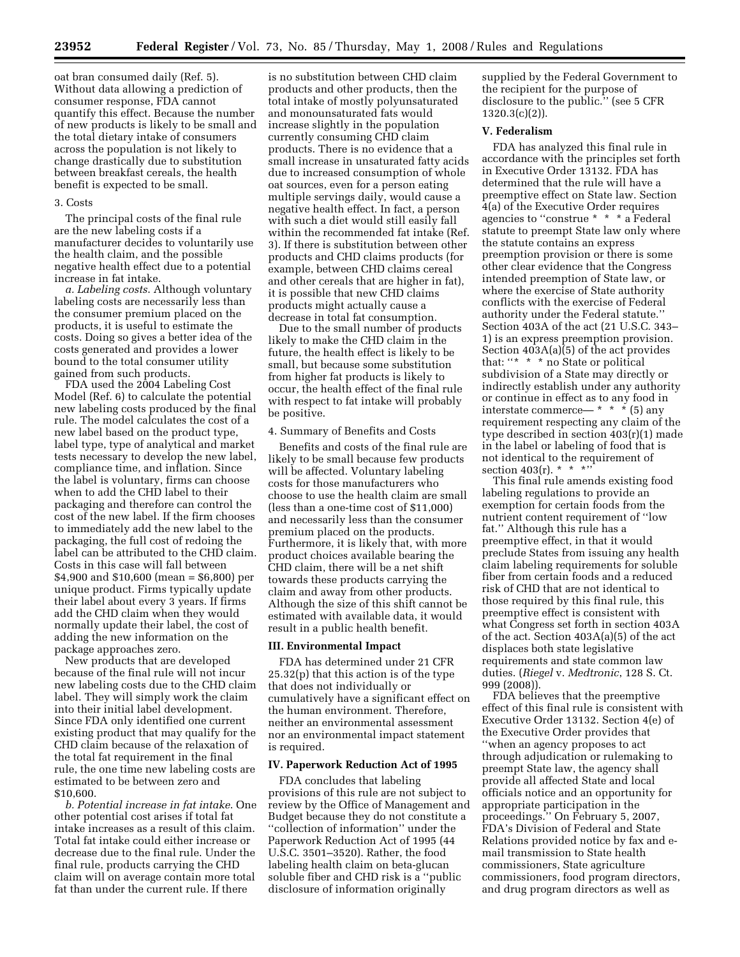oat bran consumed daily (Ref. 5). Without data allowing a prediction of consumer response, FDA cannot quantify this effect. Because the number of new products is likely to be small and the total dietary intake of consumers across the population is not likely to change drastically due to substitution between breakfast cereals, the health benefit is expected to be small.

#### 3. Costs

The principal costs of the final rule are the new labeling costs if a manufacturer decides to voluntarily use the health claim, and the possible negative health effect due to a potential increase in fat intake.

*a. Labeling costs*. Although voluntary labeling costs are necessarily less than the consumer premium placed on the products, it is useful to estimate the costs. Doing so gives a better idea of the costs generated and provides a lower bound to the total consumer utility gained from such products.

FDA used the 2004 Labeling Cost Model (Ref. 6) to calculate the potential new labeling costs produced by the final rule. The model calculates the cost of a new label based on the product type, label type, type of analytical and market tests necessary to develop the new label, compliance time, and inflation. Since the label is voluntary, firms can choose when to add the CHD label to their packaging and therefore can control the cost of the new label. If the firm chooses to immediately add the new label to the packaging, the full cost of redoing the label can be attributed to the CHD claim. Costs in this case will fall between \$4,900 and \$10,600 (mean = \$6,800) per unique product. Firms typically update their label about every 3 years. If firms add the CHD claim when they would normally update their label, the cost of adding the new information on the package approaches zero.

New products that are developed because of the final rule will not incur new labeling costs due to the CHD claim label. They will simply work the claim into their initial label development. Since FDA only identified one current existing product that may qualify for the CHD claim because of the relaxation of the total fat requirement in the final rule, the one time new labeling costs are estimated to be between zero and \$10,600.

*b. Potential increase in fat intake*. One other potential cost arises if total fat intake increases as a result of this claim. Total fat intake could either increase or decrease due to the final rule. Under the final rule, products carrying the CHD claim will on average contain more total fat than under the current rule. If there

is no substitution between CHD claim products and other products, then the total intake of mostly polyunsaturated and monounsaturated fats would increase slightly in the population currently consuming CHD claim products. There is no evidence that a small increase in unsaturated fatty acids due to increased consumption of whole oat sources, even for a person eating multiple servings daily, would cause a negative health effect. In fact, a person with such a diet would still easily fall within the recommended fat intake (Ref. 3). If there is substitution between other products and CHD claims products (for example, between CHD claims cereal and other cereals that are higher in fat), it is possible that new CHD claims products might actually cause a decrease in total fat consumption.

Due to the small number of products likely to make the CHD claim in the future, the health effect is likely to be small, but because some substitution from higher fat products is likely to occur, the health effect of the final rule with respect to fat intake will probably be positive.

### 4. Summary of Benefits and Costs

Benefits and costs of the final rule are likely to be small because few products will be affected. Voluntary labeling costs for those manufacturers who choose to use the health claim are small (less than a one-time cost of \$11,000) and necessarily less than the consumer premium placed on the products. Furthermore, it is likely that, with more product choices available bearing the CHD claim, there will be a net shift towards these products carrying the claim and away from other products. Although the size of this shift cannot be estimated with available data, it would result in a public health benefit.

#### **III. Environmental Impact**

FDA has determined under 21 CFR 25.32(p) that this action is of the type that does not individually or cumulatively have a significant effect on the human environment. Therefore, neither an environmental assessment nor an environmental impact statement is required.

## **IV. Paperwork Reduction Act of 1995**

FDA concludes that labeling provisions of this rule are not subject to review by the Office of Management and Budget because they do not constitute a ''collection of information'' under the Paperwork Reduction Act of 1995 (44 U.S.C. 3501–3520). Rather, the food labeling health claim on beta-glucan soluble fiber and CHD risk is a ''public disclosure of information originally

supplied by the Federal Government to the recipient for the purpose of disclosure to the public.'' (see 5 CFR  $1320.3(c)(2)$ ).

## **V. Federalism**

FDA has analyzed this final rule in accordance with the principles set forth in Executive Order 13132. FDA has determined that the rule will have a preemptive effect on State law. Section 4(a) of the Executive Order requires agencies to ''construe \* \* \* a Federal statute to preempt State law only where the statute contains an express preemption provision or there is some other clear evidence that the Congress intended preemption of State law, or where the exercise of State authority conflicts with the exercise of Federal authority under the Federal statute.'' Section 403A of the act (21 U.S.C. 343– 1) is an express preemption provision. Section  $403A(a)\overline{6}$  of the act provides that: "\* \* \* no State or political subdivision of a State may directly or indirectly establish under any authority or continue in effect as to any food in interstate commerce—  $* * * (5)$  any requirement respecting any claim of the type described in section 403(r)(1) made in the label or labeling of food that is not identical to the requirement of section 403 $(r)$ . \* \* \*''

This final rule amends existing food labeling regulations to provide an exemption for certain foods from the nutrient content requirement of ''low fat.'' Although this rule has a preemptive effect, in that it would preclude States from issuing any health claim labeling requirements for soluble fiber from certain foods and a reduced risk of CHD that are not identical to those required by this final rule, this preemptive effect is consistent with what Congress set forth in section 403A of the act. Section 403A(a)(5) of the act displaces both state legislative requirements and state common law duties. (*Riegel* v. *Medtronic*, 128 S. Ct. 999 (2008)).

FDA believes that the preemptive effect of this final rule is consistent with Executive Order 13132. Section 4(e) of the Executive Order provides that ''when an agency proposes to act through adjudication or rulemaking to preempt State law, the agency shall provide all affected State and local officials notice and an opportunity for appropriate participation in the proceedings.'' On February 5, 2007, FDA's Division of Federal and State Relations provided notice by fax and email transmission to State health commissioners, State agriculture commissioners, food program directors, and drug program directors as well as